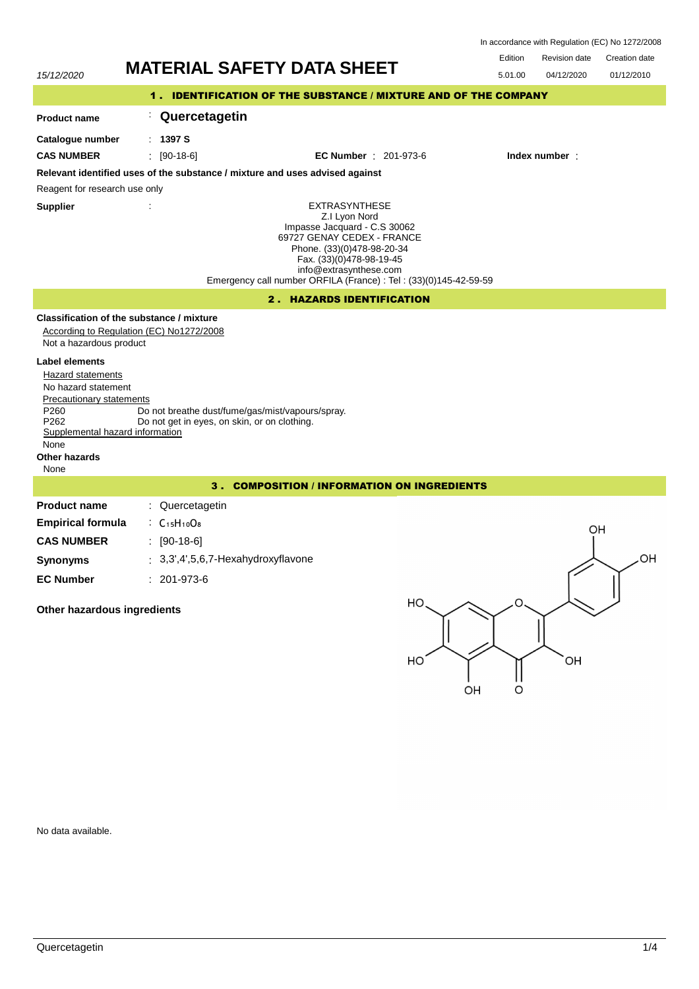| In accordance with Regulation (EC) No 1272/2008 |  |  |
|-------------------------------------------------|--|--|
|-------------------------------------------------|--|--|

 $\Omega$ 

OH

Edition Revision date Creation date



No data available.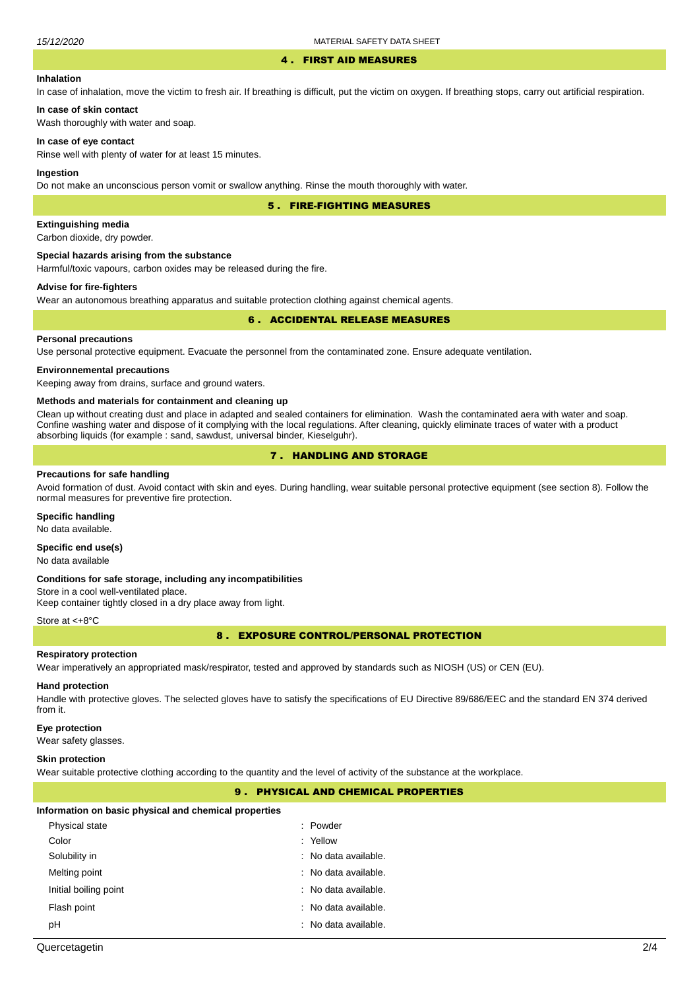#### 4 . FIRST AID MEASURES

# **Inhalation**

In case of inhalation, move the victim to fresh air. If breathing is difficult, put the victim on oxygen. If breathing stops, carry out artificial respiration.

# **In case of skin contact**

Wash thoroughly with water and soap.

### **In case of eye contact**

Rinse well with plenty of water for at least 15 minutes.

#### **Ingestion**

Do not make an unconscious person vomit or swallow anything. Rinse the mouth thoroughly with water.

5 . FIRE-FIGHTING MEASURES

# **Extinguishing media**

Carbon dioxide, dry powder.

### **Special hazards arising from the substance**

Harmful/toxic vapours, carbon oxides may be released during the fire.

# **Advise for fire-fighters**

Wear an autonomous breathing apparatus and suitable protection clothing against chemical agents.

# 6 . ACCIDENTAL RELEASE MEASURES

### **Personal precautions**

Use personal protective equipment. Evacuate the personnel from the contaminated zone. Ensure adequate ventilation.

### **Environnemental precautions**

Keeping away from drains, surface and ground waters.

#### **Methods and materials for containment and cleaning up**

Clean up without creating dust and place in adapted and sealed containers for elimination. Wash the contaminated aera with water and soap. Confine washing water and dispose of it complying with the local regulations. After cleaning, quickly eliminate traces of water with a product absorbing liquids (for example : sand, sawdust, universal binder, Kieselguhr).

# 7 . HANDLING AND STORAGE

### **Precautions for safe handling**

Avoid formation of dust. Avoid contact with skin and eyes. During handling, wear suitable personal protective equipment (see section 8). Follow the normal measures for preventive fire protection.

### **Specific handling**

No data available.

# **Specific end use(s)**

No data available

#### **Conditions for safe storage, including any incompatibilities**

Store in a cool well-ventilated place. Keep container tightly closed in a dry place away from light.

#### Store at <+8°C

8 . EXPOSURE CONTROL/PERSONAL PROTECTION

# **Respiratory protection**

Wear imperatively an appropriated mask/respirator, tested and approved by standards such as NIOSH (US) or CEN (EU).

# **Hand protection**

Handle with protective gloves. The selected gloves have to satisfy the specifications of EU Directive 89/686/EEC and the standard EN 374 derived from it.

### **Eye protection**

Wear safety glasses.

#### **Skin protection**

Wear suitable protective clothing according to the quantity and the level of activity of the substance at the workplace.

# 9 . PHYSICAL AND CHEMICAL PROPERTIES

#### **Information on basic physical and chemical properties**

| Physical state        | : Powder                        |
|-----------------------|---------------------------------|
| Color                 | : Yellow                        |
| Solubility in         | $:$ No data available.          |
| Melting point         | $:$ No data available.          |
| Initial boiling point | $:$ No data available.          |
| Flash point           | : No data available.            |
| рH                    | $\therefore$ No data available. |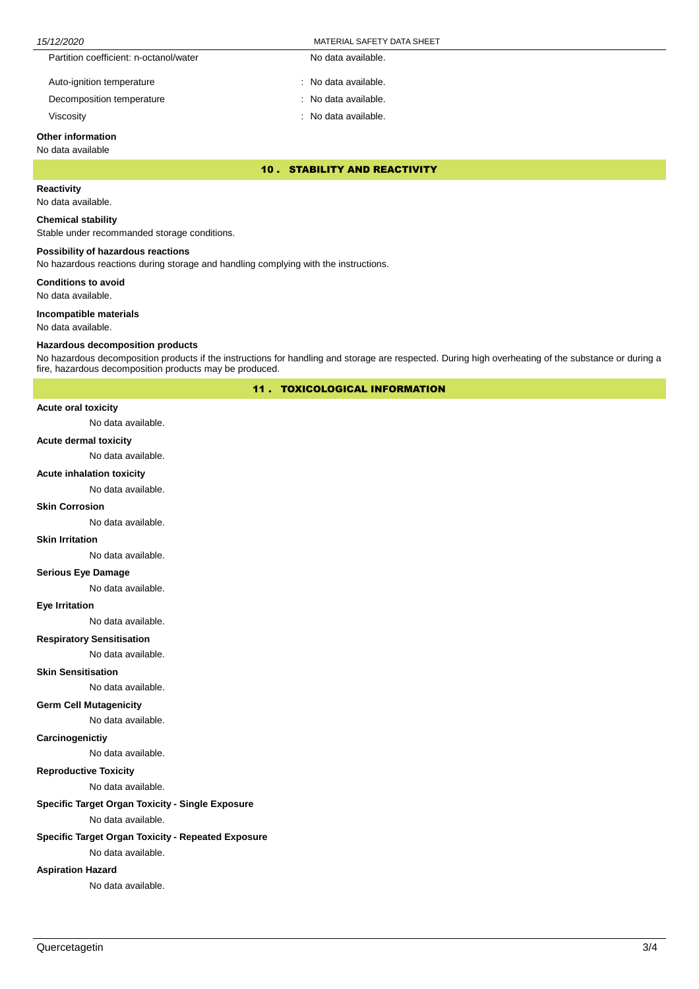| 15/12/2020 |                                        | MATERIAL SAFETY DATA SHEET |  |
|------------|----------------------------------------|----------------------------|--|
|            | Partition coefficient: n-octanol/water | No data available.         |  |
|            | Auto-ignition temperature              | : No data available.       |  |
|            | Decomposition temperature              | : No data available.       |  |

Viscosity : No data available.

# **Other information**

# No data available

10 . STABILITY AND REACTIVITY

# **Reactivity**

No data available.

# **Chemical stability**

Stable under recommanded storage conditions.

# **Possibility of hazardous reactions**

No hazardous reactions during storage and handling complying with the instructions.

**Conditions to avoid**

No data available.

### **Incompatible materials**

No data available.

# **Hazardous decomposition products**

No hazardous decomposition products if the instructions for handling and storage are respected. During high overheating of the substance or during a fire, hazardous decomposition products may be produced.

11 . TOXICOLOGICAL INFORMATION

#### **Acute oral toxicity**

No data available.

### **Acute dermal toxicity**

No data available.

### **Acute inhalation toxicity**

No data available.

# **Skin Corrosion**

No data available.

#### **Skin Irritation**

No data available.

# **Serious Eye Damage**

No data available.

# **Eye Irritation**

No data available.

# **Respiratory Sensitisation**

No data available.

#### **Skin Sensitisation**

No data available.

## **Germ Cell Mutagenicity**

No data available.

# **Carcinogenictiy**

No data available.

# **Reproductive Toxicity**

No data available.

# **Specific Target Organ Toxicity - Single Exposure**

No data available.

# **Specific Target Organ Toxicity - Repeated Exposure**

No data available.

# **Aspiration Hazard**

No data available.